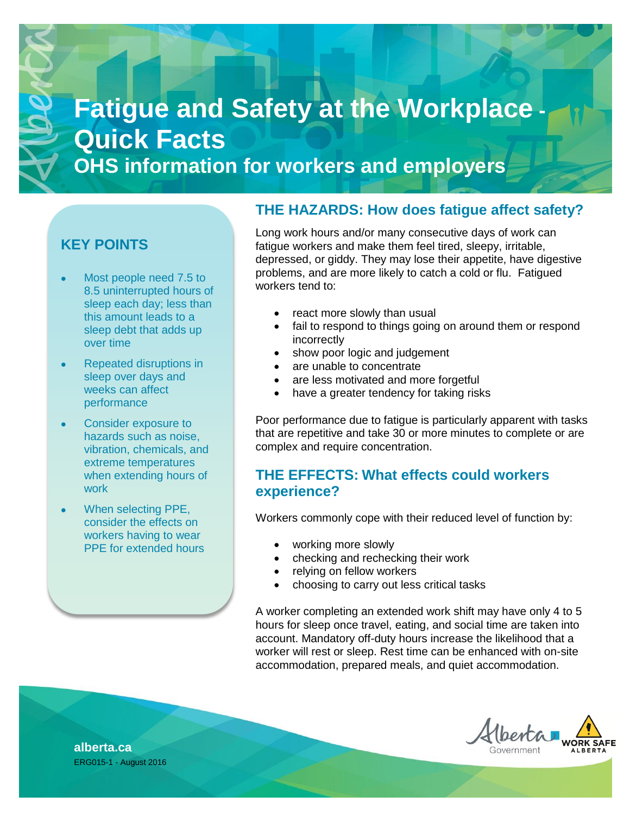# **Fatigue and Safety at the Workplace Quick Facts OHS information for workers and employers**

## **KEY POINTS**

- Most people need 7.5 to 8.5 uninterrupted hours of sleep each day; less than this amount leads to a sleep debt that adds up over time
- Repeated disruptions in sleep over days and weeks can affect performance
- Consider exposure to hazards such as noise, vibration, chemicals, and extreme temperatures when extending hours of work
- When selecting PPE, consider the effects on workers having to wear PPE for extended hours

## **THE HAZARDS: How does fatigue affect safety?**

Long work hours and/or many consecutive days of work can fatigue workers and make them feel tired, sleepy, irritable, depressed, or giddy. They may lose their appetite, have digestive problems, and are more likely to catch a cold or flu. Fatigued workers tend to:

- react more slowly than usual
- fail to respond to things going on around them or respond incorrectly
- show poor logic and judgement
- are unable to concentrate
- are less motivated and more forgetful
- have a greater tendency for taking risks

Poor performance due to fatigue is particularly apparent with tasks that are repetitive and take 30 or more minutes to complete or are complex and require concentration.

## **THE EFFECTS: What effects could workers experience?**

Workers commonly cope with their reduced level of function by:

- working more slowly
- checking and rechecking their work
- relying on fellow workers
- choosing to carry out less critical tasks

A worker completing an extended work shift may have only 4 to 5 hours for sleep once travel, eating, and social time are taken into account. Mandatory off-duty hours increase the likelihood that a worker will rest or sleep. Rest time can be enhanced with on-site accommodation, prepared meals, and quiet accommodation.



**alberta.ca** ERG015-1 - August 2016